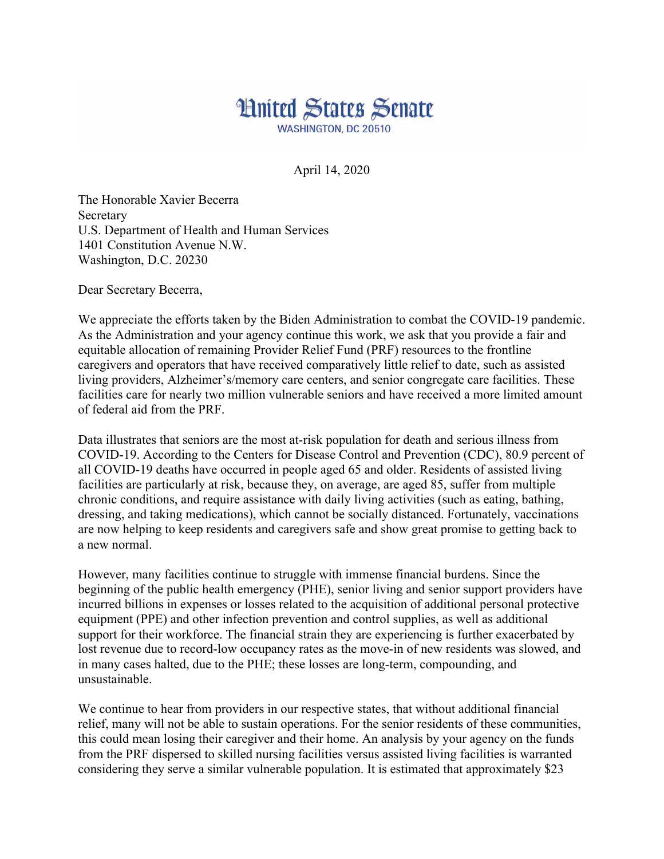## **Hnited States Senate WASHINGTON, DC 20510**

April 14, 2020

The Honorable Xavier Becerra Secretary U.S. Department of Health and Human Services 1401 Constitution Avenue N.W. Washington, D.C. 20230

Dear Secretary Becerra,

We appreciate the efforts taken by the Biden Administration to combat the COVID-19 pandemic. As the Administration and your agency continue this work, we ask that you provide a fair and equitable allocation of remaining Provider Relief Fund (PRF) resources to the frontline caregivers and operators that have received comparatively little relief to date, such as assisted living providers, Alzheimer's/memory care centers, and senior congregate care facilities. These facilities care for nearly two million vulnerable seniors and have received a more limited amount of federal aid from the PRF.

Data illustrates that seniors are the most at-risk population for death and serious illness from COVID-19. According to the Centers for Disease Control and Prevention (CDC), 80.9 percent of all COVID-19 deaths have occurred in people aged 65 and older. Residents of assisted living facilities are particularly at risk, because they, on average, are aged 85, suffer from multiple chronic conditions, and require assistance with daily living activities (such as eating, bathing, dressing, and taking medications), which cannot be socially distanced. Fortunately, vaccinations are now helping to keep residents and caregivers safe and show great promise to getting back to a new normal.

However, many facilities continue to struggle with immense financial burdens. Since the beginning of the public health emergency (PHE), senior living and senior support providers have incurred billions in expenses or losses related to the acquisition of additional personal protective equipment (PPE) and other infection prevention and control supplies, as well as additional support for their workforce. The financial strain they are experiencing is further exacerbated by lost revenue due to record-low occupancy rates as the move-in of new residents was slowed, and in many cases halted, due to the PHE; these losses are long-term, compounding, and unsustainable.

We continue to hear from providers in our respective states, that without additional financial relief, many will not be able to sustain operations. For the senior residents of these communities, this could mean losing their caregiver and their home. An analysis by your agency on the funds from the PRF dispersed to skilled nursing facilities versus assisted living facilities is warranted considering they serve a similar vulnerable population. It is estimated that approximately \$23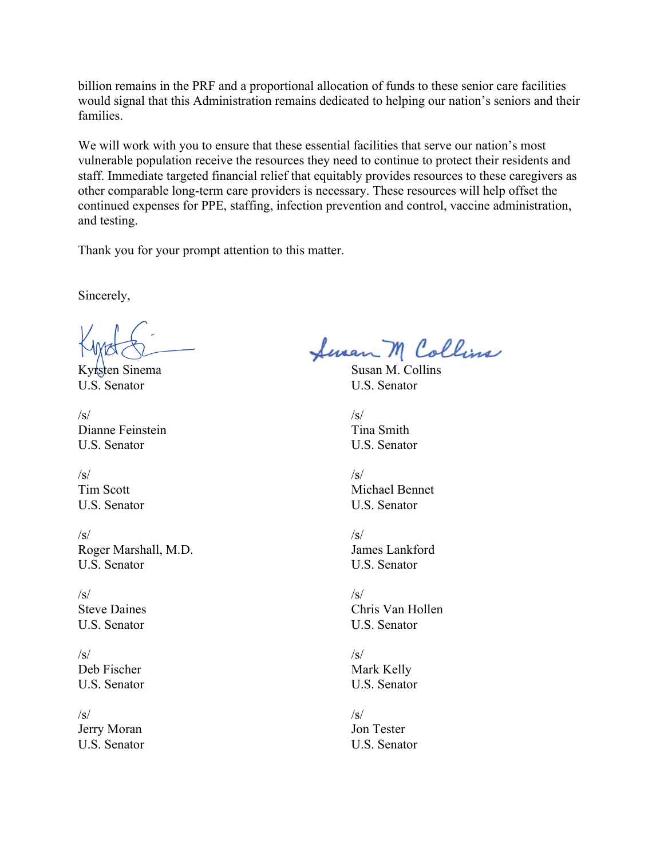billion remains in the PRF and a proportional allocation of funds to these senior care facilities would signal that this Administration remains dedicated to helping our nation's seniors and their families.

We will work with you to ensure that these essential facilities that serve our nation's most vulnerable population receive the resources they need to continue to protect their residents and staff. Immediate targeted financial relief that equitably provides resources to these caregivers as other comparable long-term care providers is necessary. These resources will help offset the continued expenses for PPE, staffing, infection prevention and control, vaccine administration, and testing.

Thank you for your prompt attention to this matter.

Sincerely,

U.S. Senator U.S. Senator

 $/\mathrm{s}/\mathrm{s}/\mathrm{s}$ Dianne Feinstein Tina Smith U.S. Senator U.S. Senator

 $/\mathrm{s}/\mathrm{s}/\mathrm{s}$ 

 $/\mathrm{s}/\mathrm{s}/\mathrm{s}$ Roger Marshall, M.D. James Lankford U.S. Senator U.S. Senator

/s/ /s/ U.S. Senator U.S. Senator

 $/\mathrm{s}/\mathrm{s}/\mathrm{s}$ Deb Fischer Mark Kelly

 $/\mathrm{s}/\mathrm{s}/\mathrm{s}$ Jerry Moran Jon Tester U.S. Senator U.S. Senator

Seven M Collins

Kyrsten Sinema Susan M. Collins

Tim Scott Michael Bennet U.S. Senator U.S. Senator

Steve Daines Chris Van Hollen

U.S. Senator U.S. Senator